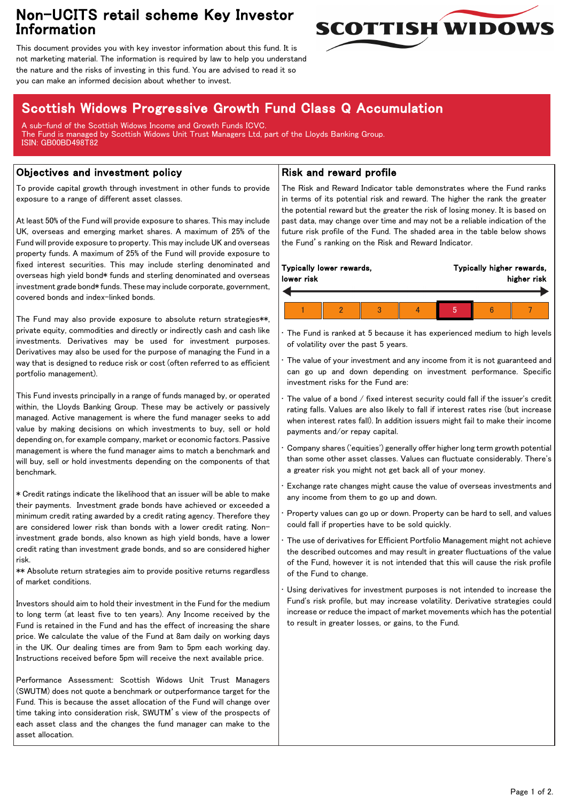## Non-UCITS retail scheme Key Investor Information



This document provides you with key investor information about this fund. It is not marketing material. The information is required by law to help you understand the nature and the risks of investing in this fund. You are advised to read it so you can make an informed decision about whether to invest.

# Scottish Widows Progressive Growth Fund Class Q Accumulation

A sub-fund of the Scottish Widows Income and Growth Funds ICVC. The Fund is managed by Scottish Widows Unit Trust Managers Ltd, part of the Lloyds Banking Group. ISIN: GB00BD498T82

### Objectives and investment policy

To provide capital growth through investment in other funds to provide exposure to a range of different asset classes.

At least 50% of the Fund will provide exposure to shares. This may include UK, overseas and emerging market shares. A maximum of 25% of the Fund will provide exposure to property. This may include UK and overseas property funds. A maximum of 25% of the Fund will provide exposure to fixed interest securities. This may include sterling denominated and overseas high yield bond\* funds and sterling denominated and overseas investment grade bond\* funds. These may include corporate, government, covered bonds and index-linked bonds.

The Fund may also provide exposure to absolute return strategies\*\*, private equity, commodities and directly or indirectly cash and cash like investments. Derivatives may be used for investment purposes. Derivatives may also be used for the purpose of managing the Fund in a way that is designed to reduce risk or cost (often referred to as efficient portfolio management).

This Fund invests principally in a range of funds managed by, or operated within, the Lloyds Banking Group. These may be actively or passively managed. Active management is where the fund manager seeks to add value by making decisions on which investments to buy, sell or hold depending on, for example company, market or economic factors. Passive management is where the fund manager aims to match a benchmark and will buy, sell or hold investments depending on the components of that benchmark.

\* Credit ratings indicate the likelihood that an issuer will be able to make their payments. Investment grade bonds have achieved or exceeded a minimum credit rating awarded by a credit rating agency. Therefore they are considered lower risk than bonds with a lower credit rating. Noninvestment grade bonds, also known as high yield bonds, have a lower credit rating than investment grade bonds, and so are considered higher risk.

\*\* Absolute return strategies aim to provide positive returns regardless of market conditions.

Investors should aim to hold their investment in the Fund for the medium to long term (at least five to ten years). Any Income received by the Fund is retained in the Fund and has the effect of increasing the share price. We calculate the value of the Fund at 8am daily on working days in the UK. Our dealing times are from 9am to 5pm each working day. Instructions received before 5pm will receive the next available price.

Performance Assessment: Scottish Widows Unit Trust Managers (SWUTM) does not quote a benchmark or outperformance target for the Fund. This is because the asset allocation of the Fund will change over time taking into consideration risk, SWUTM's view of the prospects of each asset class and the changes the fund manager can make to the asset allocation.

### Risk and reward profile

The Risk and Reward Indicator table demonstrates where the Fund ranks in terms of its potential risk and reward. The higher the rank the greater the potential reward but the greater the risk of losing money. It is based on past data, may change over time and may not be a reliable indication of the future risk profile of the Fund. The shaded area in the table below shows the Fund's ranking on the Risk and Reward Indicator.

| lower risk | Typically lower rewards, |  |  | Typically higher rewards,<br>higher risk |  |  |  |  |  |
|------------|--------------------------|--|--|------------------------------------------|--|--|--|--|--|
|            |                          |  |  |                                          |  |  |  |  |  |
|            |                          |  |  |                                          |  |  |  |  |  |

The Fund is ranked at 5 because it has experienced medium to high levels of volatility over the past 5 years.

The value of your investment and any income from it is not guaranteed and can go up and down depending on investment performance. Specific investment risks for the Fund are:

• The value of a bond / fixed interest security could fall if the issuer's credit rating falls. Values are also likely to fall if interest rates rise (but increase when interest rates fall). In addition issuers might fail to make their income payments and/or repay capital.

• Company shares ('equities') generally offer higher long term growth potential than some other asset classes. Values can fluctuate considerably. There's a greater risk you might not get back all of your money.

• Exchange rate changes might cause the value of overseas investments and any income from them to go up and down.

• Property values can go up or down. Property can be hard to sell, and values could fall if properties have to be sold quickly.

• The use of derivatives for Efficient Portfolio Management might not achieve the described outcomes and may result in greater fluctuations of the value of the Fund, however it is not intended that this will cause the risk profile of the Fund to change.

Using derivatives for investment purposes is not intended to increase the Fund's risk profile, but may increase volatility. Derivative strategies could increase or reduce the impact of market movements which has the potential to result in greater losses, or gains, to the Fund.